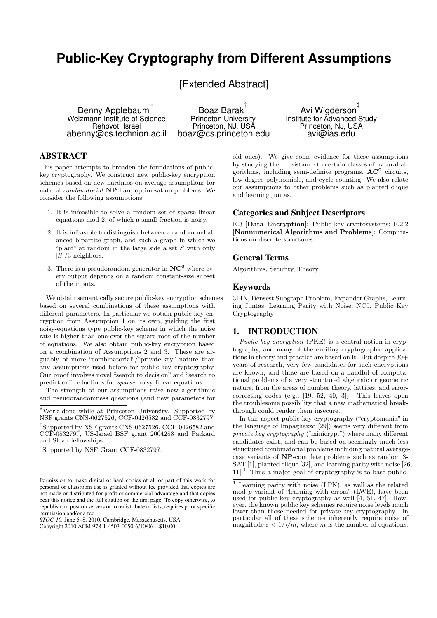# **Public-Key Cryptography from Different Assumptions**

[Extended Abstract]

Benny Applebaum ∗ Weizmann Institute of Science Rehovot, Israel abenny@cs.technion.ac.il

Boaz Barak † Princeton University, Princeton, NJ, USA boaz@cs.princeton.edu

Avi Wigderson ‡ Institute for Advanced Study Princeton, NJ, USA avi@ias.edu

# ABSTRACT

This paper attempts to broaden the foundations of publickey cryptography. We construct new public-key encryption schemes based on new hardness-on-average assumptions for natural combinatorial NP-hard optimization problems. We consider the following assumptions:

- 1. It is infeasible to solve a random set of sparse linear equations mod 2, of which a small fraction is noisy.
- 2. It is infeasible to distinguish between a random unbalanced bipartite graph, and such a graph in which we "plant" at random in the large side a set  $S$  with only  $|S|/3$  neighbors.
- 3. There is a pseudorandom generator in  $NC^0$  where every output depends on a random constant-size subset of the inputs.

We obtain semantically secure public-key encryption schemes based on several combinations of these assumptions with different parameters. In particular we obtain public-key encryption from Assumption 1 on its own, yielding the first noisy-equations type public-key scheme in which the noise rate is higher than one over the square root of the number of equations. We also obtain public-key encryption based on a combination of Assumptions 2 and 3. These are arguably of more "combinatorial"/"private-key" nature than any assumptions used before for public-key cryptography. Our proof involves novel "search to decision" and "search to prediction" reductions for sparse noisy linear equations.

The strength of our assumptions raise new algorithmic and pseudorandomness questions (and new parameters for

*STOC'10,* June 5–8, 2010, Cambridge, Massachusetts, USA Copyright 2010 ACM 978-1-4503-0050-6/10/06 ...\$10.00.

old ones). We give some evidence for these assumptions by studying their resistance to certain classes of natural algorithms, including semi-definite programs,  $AC^0$  circuits, low-degree polynomials, and cycle counting. We also relate our assumptions to other problems such as planted clique and learning juntas.

## Categories and Subject Descriptors

E.3 [Data Encryption]: Public key cryptosystems; F.2.2 [Nonnumerical Algorithms and Problems]: Computations on discrete structures

## General Terms

Algorithms, Security, Theory

## Keywords

3LIN, Densest Subgraph Problem, Expander Graphs, Learning Juntas, Learning Parity with Noise, NC0, Public Key Cryptography

## 1. INTRODUCTION

Public key encryption (PKE) is a central notion in cryptography, and many of the exciting cryptographic applications in theory and practice are based on it. But despite 30+ years of research, very few candidates for such encryptions are known, and these are based on a handful of computational problems of a very structured algebraic or geometric nature, from the areas of number theory, lattices, and errorcorrecting codes (e.g., [19, 52, 40, 3]). This leaves open the troublesome possibility that a new mathematical breakthrough could render them insecure.

In this aspect public-key cryptography ("cryptomania" in the language of Impagliazzo [29]) seems very different from private key cryptography ("minicrypt") where many different candidates exist, and can be based on seemingly much less structured combinatorial problems including natural averagecase variants of NP-complete problems such as random 3- SAT [1], planted clique [32], and learning parity with noise [26,  $11$ <sup>1</sup>.<sup>1</sup> Thus a major goal of cryptography is to base public-

<sup>∗</sup>Work done while at Princeton University. Supported by NSF grants CNS-0627526, CCF-0426582 and CCF-0832797.

<sup>†</sup> Supported by NSF grants CNS-0627526, CCF-0426582 and CCF-0832797, US-Israel BSF grant 2004288 and Packard and Sloan fellowships.

<sup>‡</sup> Supported by NSF Grant CCF-0832797.

Permission to make digital or hard copies of all or part of this work for personal or classroom use is granted without fee provided that copies are not made or distributed for profit or commercial advantage and that copies bear this notice and the full citation on the first page. To copy otherwise, to republish, to post on servers or to redistribute to lists, requires prior specific permission and/or a fee.

<sup>&</sup>lt;sup>1</sup> Learning parity with noise (LPN), as well as the related mod p variant of "learning with errors" (LWE), have been used for public key cryptography as well  $[4, 51, 47]$ . However, the known public key schemes require noise levels much lower than those needed for private-key cryptography. In particular all of these schemes inherently require noise of magnitude  $\varepsilon < 1/\sqrt{m}$ , where m is the number of equations.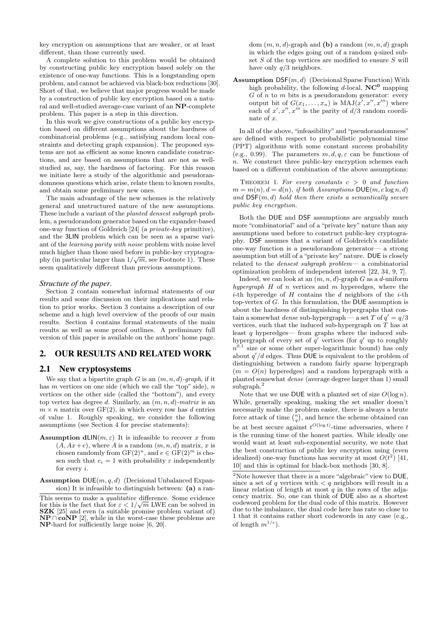key encryption on assumptions that are weaker, or at least different, than those currently used.

A complete solution to this problem would be obtained by constructing public key encryption based solely on the existence of one-way functions. This is a longstanding open problem, and cannot be achieved via black-box reductions [30]. Short of that, we believe that major progress would be made by a construction of public key encryption based on a natural and well-studied average-case variant of an NP-complete problem. This paper is a step in this direction.

In this work we give constructions of a public key encryption based on different assumptions about the hardness of combinatorial problems (e.g., satisfying random local constraints and detecting graph expansion). The proposed systems are not as efficient as some known candidate constructions, and are based on assumptions that are not as wellstudied as, say, the hardness of factoring. For this reason we initiate here a study of the algorithmic and pseudorandomness questions which arise, relate them to known results, and obtain some preliminary new ones.

The main advantage of the new schemes is the relatively general and unstructured nature of the new assumptions. These include a variant of the planted densest subgraph problem, a pseudorandom generator based on the expander-based one-way function of Goldreich [24] (a private-key primitive), and the 3LIN problem which can be seen as a sparse variant of the learning parity with noise problem with noise level much higher than those used before in public-key cryptography (in particular larger than  $1/\sqrt{m}$ , see Footnote 1). These seem qualitatively different than previous assumptions.

#### *Structure of the paper.*

Section 2 contain somewhat informal statements of our results and some discussion on their implications and relation to prior works. Section 3 contains a description of our scheme and a high level overview of the proofs of our main results. Section 4 contains formal statements of the main results as well as some proof outlines. A preliminary full version of this paper is available on the authors' home page.

## 2. OUR RESULTS AND RELATED WORK

## 2.1 New cryptosystems

We say that a bipartite graph  $G$  is an  $(m, n, d)$ -graph, if it has  $m$  vertices on one side (which we call the "top" side),  $n$ vertices on the other side (called the "bottom"), and every top vertex has degree d. Similarly, an  $(m, n, d)$ -matrix is an  $m \times n$  matrix over GF(2), in which every row has d entries of value 1. Roughly speaking, we consider the following assumptions (see Section 4 for precise statements):

**Assumption dLIN**( $m, \varepsilon$ ) It is infeasible to recover x from  $(A, Ax+e)$ , where A is a random  $(m, n, d)$  matrix, x is chosen randomly from  $GF(2)^n$ , and  $e \in GF(2)^m$  is chosen such that  $e_i = 1$  with probability  $\varepsilon$  independently for every i.

**Assumption**  $DUE(m, q, d)$  (Decisional Unbalanced Expansion) It is infeasible to distinguish between: (a) a random  $(m, n, d)$ -graph and (b) a random  $(m, n, d)$  graph in which the edges going out of a random  $q$ -sized subset  $S$  of the top vertices are modified to ensure  $S$  will have only  $q/3$  neighbors.

**Assumption DSF** $(m, d)$  (Decisional Sparse Function) With high probability, the following d-local,  $NC^0$  mapping  $G$  of n to m bits is a pseudorandom generator: every output bit of  $G(x_1, \ldots, x_n)$  is  $\text{MAJ}(x', x'', x''')$  where each of  $x', x'', x'''$  is the parity of  $d/3$  random coordinate of  $x$ .

In all of the above, "infeasibility" and "pseudorandomness" are defined with respect to probabilistic polynomial time (PPT) algorithms with some constant success probability (e.g., 0.99). The parameters  $m, d, q, \varepsilon$  can be functions of n. We construct three public-key encryption schemes each based on a different combination of the above assumptions:

THEOREM 1. For every constants  $c > 0$  and function  $m = m(n), d = d(n),$  if both Assumptions DUE(m, clog n, d) and  $\mathsf{DSF}(m, d)$  hold then there exists a semantically secure public key encryption.

Both the DUE and DSF assumptions are arguably much more "combinatorial" and of a "private key" nature than any assumptions used before to construct public-key cryptography. DSF assumes that a variant of Goldreich's candidate one-way function is a pseudorandom generator— a strong assumption but still of a "private key" nature. DUE is closely related to the *densest subgraph problem*— a combinatorial optimization problem of independent interest [22, 34, 9, 7].

Indeed, we can look at an  $(m, n, d)$ -graph G as a d-uniform hypergraph  $H$  of n vertices and  $m$  hyperedges, where the *i*-th hyperedge of  $H$  contains the  $d$  neighbors of the *i*-th top-vertex of  $G$ . In this formulation, the DUE assumption is about the hardness of distinguishing hypergraphs that contain a somewhat *dense* sub-hypergraph — a set T of  $q' = q/3$ vertices, such that the induced sub-hypergraph on  $T$  has at least q hyperedges— from graphs where the induced subhypergraph of every set of  $q'$  vertices (for  $q'$  up to roughly  $n^{0.1}$  size or some other super-logarithmic bound) has only about  $q'/d$  edges. Thus DUE is equivalent to the problem of distinguishing between a random fairly sparse hypergraph  $(m = O(n)$  hyperedges) and a random hypergraph with a planted somewhat dense (average degree larger than 1) small subgraph.<sup>2</sup>

Note that we use DUE with a planted set of size  $O(\log n)$ . While, generally speaking, making the set smaller doesn't necessarily make the problem easier, there is always a brute necessarily make the problem easier, there is always a brute<br>force attack of time  $\binom{n}{q}$ , and hence the scheme obtained can be at best secure against  $t^{O(\log t)}$ -time adversaries, where t is the running time of the honest parties. While ideally one would want at least sub-exponential security, we note that the best construction of public key encryption using (even idealized) one-way functions has security at most  $O(t^2)$  [41, 10] and this is optimal for black-box methods [30, 8].

This seems to make a *qualitative* difference. Some evidence for this is the fact that for  $\varepsilon < 1/\sqrt{m}$  LWE can be solved in SZK [25] and even (a suitable promise problem variant of)  $\mathbf{NP} \cap \mathbf{coNP}$  [2], while in the worst-case these problems are NP-hard for sufficiently large noise [6, 20].

<sup>&</sup>lt;sup>2</sup>Note however that there is a more "algebraic" view to  $DUE$ , since a set of q vertices with  $\langle q \rangle$  neighbors will result in a linear relation of length at most  $q$  in the rows of the adjacency matrix. So, one can think of DUE also as a shortest codeword problem for the dual code of this matrix. However due to the imbalance, the dual code here has rate so close to 1 that it contains rather short codewords in any case (e.g., of length  $m^{1/c}$ ).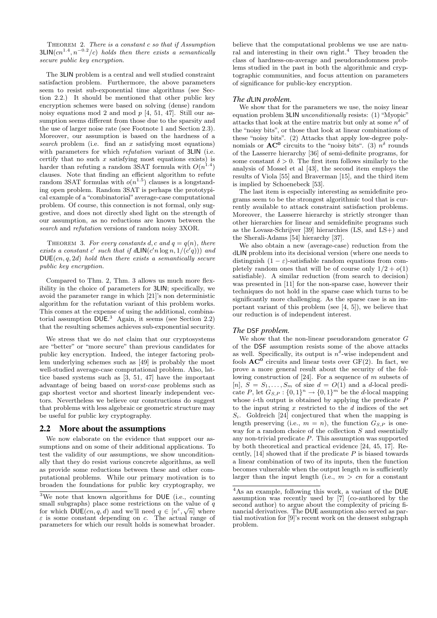THEOREM 2. There is a constant  $c$  so that if Assumption  $3$ LIN $(cn^{1.4}, n^{-0.2}/c)$  holds then there exists a semantically secure public key encryption.

The 3LIN problem is a central and well studied constraint satisfaction problem. Furthermore, the above parameters seem to resist sub-exponential time algorithms (see Section 2.2.) It should be mentioned that other public key encryption schemes were based on solving (dense) random noisy equations mod 2 and mod  $p$  [4, 51, 47]. Still our assumption seems different from those due to the sparsity and the use of larger noise rate (see Footnote 1 and Section 2.3). Moreover, our assumption is based on the hardness of a search problem (i.e. find an  $x$  satisfying most equations) with parameters for which refutation variant of 3LIN (i.e. certify that no such  $x$  satisfying most equations exists) is harder than refuting a random 3SAT formula with  $O(n^{1.4})$ clauses. Note that finding an efficient algorithm to refute random 3SAT formulas with  $o(n^{1.5})$  clauses is a longstanding open problem. Random 3SAT is perhaps the prototypical example of a "combinatorial" average-case computational problem. Of course, this connection is not formal, only suggestive, and does not directly shed light on the strength of our assumption, as no reductions are known between the search and refutation versions of random noisy 3XOR.

THEOREM 3. For every constants d, c and  $q = q(n)$ , there exists a constant c' such that if  $d\text{LIN}(c'n \log n, 1/(c'q)))$  and  $DUE(cn, q, 2d)$  hold then there exists a semantically secure public key encryption.

Compared to Thm. 2, Thm. 3 allows us much more flexibility in the choice of parameters for 3LIN; specifically, we avoid the parameter range in which [21]'s non deterministic algorithm for the refutation variant of this problem works. This comes at the expense of using the additional, combinatorial assumption DUE. <sup>3</sup> Again, it seems (see Section 2.2) that the resulting schemes achieves sub-exponential security.

We stress that we do not claim that our cryptosystems are "better" or "more secure" than previous candidates for public key encryption. Indeed, the integer factoring problem underlying schemes such as [49] is probably the most well-studied average-case computational problem. Also, lattice based systems such as [3, 51, 47] have the important advantage of being based on worst-case problems such as gap shortest vector and shortest linearly independent vectors. Nevertheless we believe our constructions do suggest that problems with less algebraic or geometric structure may be useful for public key cryptography.

## 2.2 More about the assumptions

We now elaborate on the evidence that support our assumptions and on some of their additional applications. To test the validity of our assumptions, we show unconditionally that they do resist various concrete algorithms, as well as provide some reductions between these and other computational problems. While our primary motivation is to broaden the foundations for public key cryptography, we

believe that the computational problems we use are natural and interesting in their own right.<sup>4</sup> They broaden the class of hardness-on-average and pseudorandomness problems studied in the past in both the algorithmic and cryptographic communities, and focus attention on parameters of significance for public-key encryption.

#### *The d*LIN *problem.*

We show that for the parameters we use, the noisy linear equation problem 3LIN unconditionally resists: (1) "Myopic" attacks that look at the entire matrix but only at some  $n^{\delta}$  of the "noisy bits", or those that look at linear combinations of these "noisy bits". (2) Attacks that apply low-degree polynomials or  $AC^0$  circuits to the "noisy bits". (3)  $n^{\delta}$  rounds of the Lasserre hierarchy [36] of semi-definite programs, for some constant  $\delta > 0$ . The first item follows similarly to the analysis of Mossel et al [43], the second item employs the results of Viola [55] and Braverman [15], and the third item is implied by Schoenebeck [53].

The last item is especially interesting as semidefinite programs seem to be the strongest algorithmic tool that is currently available to attack constraint satisfaction problems. Moreover, the Lasserre hierarchy is strictly stronger than other hierarchies for linear and semidefinite programs such as the Lovasz-Schrijver [39] hierarchies (LS, and LS+) and the Sherali-Adams [54] hierarchy [37].

We also obtain a new (average-case) reduction from the dLIN problem into its decisional version (where one needs to distinguish  $(1 - \varepsilon)$ -satisfiable random equations from completely random ones that will be of course only  $1/2 + o(1)$ satisfiable). A similar reduction (from search to decision) was presented in [11] for the non-sparse case, however their techniques do not hold in the sparse case which turns to be significantly more challenging. As the sparse case is an important variant of this problem (see [4, 5]), we believe that our reduction is of independent interest.

## *The* DSF *problem.*

We show that the non-linear pseudorandom generator G of the DSF assumption resists some of the above attacks as well. Specifically, its output is  $n^{\delta}$ -wise independent and fools  $AC^0$  circuits and linear tests over  $GF(2)$ . In fact, we prove a more general result about the security of the following construction of [24]. For a sequence of  $m$  subsets of [n],  $S = S_1, \ldots, S_m$  of size  $d = O(1)$  and a d-local predicate P, let  $G_{S,P}: \{0,1\}^n \to \{0,1\}^m$  be the d-local mapping whose  $i$ -th output is obtained by applying the predicate  $P$ to the input string  $x$  restricted to the  $d$  indices of the set  $S_i$ . Goldreich [24] conjectured that when the mapping is length preserving (i.e.,  $m = n$ ), the function  $G_{S,P}$  is oneway for a random choice of the collection  $S$  and essentially any non-trivial predicate  $P$ . This assumption was supported by both theoretical and practical evidence [24, 45, 17]. Recently,  $[14]$  showed that if the predicate  $P$  is biased towards a linear combination of two of its inputs, then the function becomes vulnerable when the output length  $m$  is sufficiently larger than the input length (i.e.,  $m > cn$  for a constant

 $3$ We note that known algorithms for DUE (i.e., counting small subgraphs) place some restrictions on the value of  $\overline{q}$ for which  $DUE(cn, q, d)$  and we'll need  $q \in [n^{\varepsilon}, \sqrt{n}]$  where  $\varepsilon$  is some constant depending on c. The actual range of parameters for which our result holds is somewhat broader.

<sup>&</sup>lt;sup>4</sup>As an example, following this work, a variant of the DUE assumption was recently used by [7] (co-authored by the second author) to argue about the complexity of pricing financial derivatives. The DUE assumption also served as partial motivation for [9]'s recent work on the densest subgraph problem.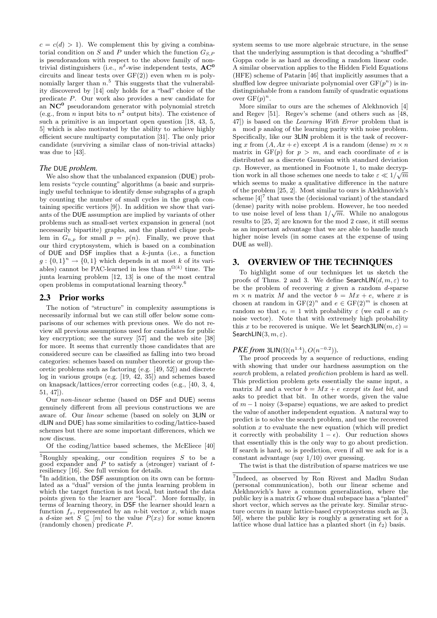$c = c(d) > 1$ . We complement this by giving a combinatorial condition on  $S$  and  $P$  under which the function  $G_{S,P}$ is pseudorandom with respect to the above family of nontrivial distinguishers (i.e.,  $n^{\delta}$ -wise independent tests,  $AC^0$ circuits and linear tests over  $GF(2)$  even when m is polynomially larger than  $n<sup>5</sup>$ . This suggests that the vulnerability discovered by [14] only holds for a "bad" choice of the predicate P. Our work also provides a new candidate for an  $NC<sup>0</sup>$  pseudorandom generator with polynomial stretch (e.g., from *n* input bits to  $n^2$  output bits). The existence of such a primitive is an important open question [18, 43, 5, 5] which is also motivated by the ability to achieve highly efficient secure multiparty computation [31]. The only prior candidate (surviving a similar class of non-trivial attacks) was due to [43].

## *The* DUE *problem.*

We also show that the unbalanced expansion (DUE) problem resists "cycle counting" algorithms (a basic and surprisingly useful technique to identify dense subgraphs of a graph by counting the number of small cycles in the graph containing specific vertices [9]). In addition we show that variants of the DUE assumption are implied by variants of other problems such as small-set vertex expansion in general (not necessarily bipartite) graphs, and the planted clique problem in  $G_{n,p}$  for small  $p = p(n)$ . Finally, we prove that our third cryptosystem, which is based on a combination of DUE and DSF implies that a  $k$ -junta (i.e., a function  $g: \{0,1\}^n \to \{0,1\}$  which depends in at most k of its variables) cannot be PAC-learned in less than  $n^{\Omega(k)}$  time. The junta learning problem [12, 13] is one of the most central open problems in computational learning theory.<sup>6</sup>

## 2.3 Prior works

The notion of "structure" in complexity assumptions is necessarily informal but we can still offer below some comparisons of our schemes with previous ones. We do not review all previous assumptions used for candidates for public key encryption; see the survey [57] and the web site [38] for more. It seems that currently those candidates that are considered secure can be classified as falling into two broad categories: schemes based on number theoretic or group theoretic problems such as factoring (e.g. [49, 52]) and discrete log in various groups (e.g. [19, 42, 35]) and schemes based on knapsack/lattices/error correcting codes (e.g., [40, 3, 4, 51, 47]).

Our non-linear scheme (based on DSF and DUE) seems genuinely different from all previous constructions we are aware of. Our linear scheme (based on solely on 3LIN or dLIN and DUE) has some similarities to coding/lattice-based schemes but there are some important differences, which we now discuss.

Of the coding/lattice based schemes, the McEliece [40]

system seems to use more algebraic structure, in the sense that the underlying assumption is that decoding a "shuffled" Goppa code is as hard as decoding a random linear code. A similar observation applies to the Hidden Field Equations (HFE) scheme of Patarin [46] that implicitly assumes that a shuffled low degree univariate polynomial over  $GF(p^n)$  is indistinguishable from a random family of quadratic equations over  $\overline{\mathrm{GF}}(p)^n$ .

More similar to ours are the schemes of Alekhnovich [4] and Regev [51]. Regev's scheme (and others such as [48, 47]) is based on the Learning With Error problem that is a mod p analog of the learning parity with noise problem. Specifically, like our 3LIN problem it is the task of recovering x from  $(A, Ax + e)$  except A is a random (dense)  $m \times n$ matrix in  $GF(p)$  for  $p > m$ , and each coordinate of e is distributed as a discrete Gaussian with standard deviation  $\varepsilon p$ . However, as mentioned in Footnote 1, to make decryption work in all those schemes one needs to take  $\varepsilon \ll 1/\sqrt{m}$ which seems to make a qualitative difference in the nature of the problem [25, 2]. Most similar to ours is Alekhnovich's scheme  $\left[4\right]^{7}$  that uses the (decisional variant) of the standard (dense) parity with noise problem. However, he too needed √ to use noise level of less than  $1/\sqrt{m}$ . While no analogous results to [25, 2] are known for the mod 2 case, it still seems as an important advantage that we are able to handle much higher noise levels (in some cases at the expense of using DUE as well).

# 3. OVERVIEW OF THE TECHNIQUES

To highlight some of our techniques let us sketch the proofs of Thms. 2 and 3. We define SearchLIN $(d, m, \varepsilon)$  to be the problem of recovering  $x$  given a random  $d$ -sparse  $m \times n$  matrix M and the vector  $b = Mx + e$ , where x is chosen at random in  $GF(2)^n$  and  $e \in GF(2)^m$  is chosen at random so that  $e_i = 1$  with probability  $\varepsilon$  (we call e an  $\varepsilon$ noise vector). Note that with extremely high probability this x to be recovered is unique. We let  $\mathsf{Search3LIN}(m, \varepsilon) =$ SearchLIN $(3, m, \varepsilon)$ .

## *PKE from* 3LIN( $\Omega(n^{1.4})$ ,  $O(n^{-0.2})$ ).

The proof proceeds by a sequence of reductions, ending with showing that under our hardness assumption on the search problem, a related prediction problem is hard as well. This prediction problem gets essentially the same input, a matrix M and a vector  $b = Mx + e$  except its last bit, and asks to predict that bit. In other words, given the value of  $m-1$  noisy (3-sparse) equations, we are asked to predict the value of another independent equation. A natural way to predict is to solve the search problem, and use the recovered solution  $x$  to evaluate the new equation (which will predict it correctly with probability  $1 - \epsilon$ ). Our reduction shows that essentially this is the only way to go about prediction. If search is hard, so is prediction, even if all we ask for is a constant advantage (say 1/10) over guessing.

The twist is that the distribution of sparse matrices we use

 ${}^{5}$ Roughly speaking, our condition requires S to be a good expander and  $P$  to satisfy a (stronger) variant of  $t$ resiliency [16]. See full version for details.

<sup>&</sup>lt;sup>6</sup>In addition, the DSF assumption on its own can be formulated as a "dual" version of the junta learning problem in which the target function is not local, but instead the data points given to the learner are "local". More formally, in terms of learning theory, in DSF the learner should learn a function  $f_x$ , represented by an *n*-bit vector x, which maps a d-size set  $S \subseteq [m]$  to the value  $P(x_S)$  for some known (randomly chosen) predicate P.

<sup>7</sup> Indeed, as observed by Ron Rivest and Madhu Sudan (personal communication), both our linear scheme and Alekhnovich's have a common generalization, where the public key is a matrix  $G$  whose dual subspace has a "planted" short vector, which serves as the private key. Similar structure occurs in many lattice-based cryptosystems such as [3, 50], where the public key is roughly a generating set for a lattice whose dual lattice has a planted short (in  $\ell_2$ ) basis.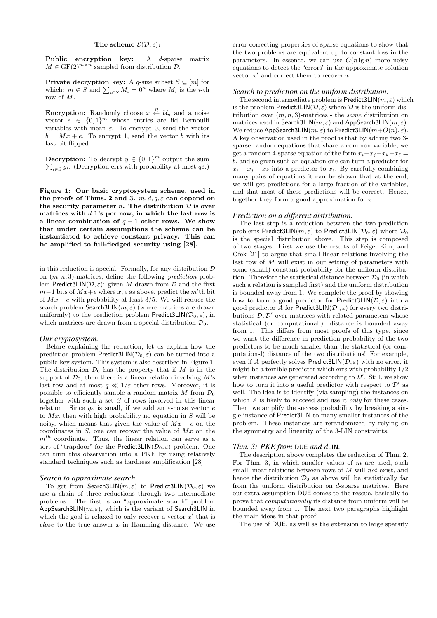#### The scheme  $\mathcal{E}(\mathcal{D}, \varepsilon)$ :

Public encryption key: A d-sparse matrix  $M \in \mathrm{GF}(2)^{m \times n}$  sampled from distribution  $\mathcal{D}$ .

**Private decryption key:** A q-size subset  $S \subseteq [m]$  for **PTIVALE GECTYPLION KEY:** A q-size subset  $S \subseteq [m]$  for which:  $m \in S$  and  $\sum_{i \in S} M_i = 0^n$  where  $M_i$  is the *i*-th row of M.

**Encryption:** Randomly choose  $x \stackrel{R}{\leftarrow} \mathcal{U}_n$  and a noise vector  $e \in \{0,1\}^m$  whose entries are iid Bernoulli variables with mean  $\varepsilon$ . To encrypt 0, send the vector  $b = Mx + e$ . To encrypt 1, send the vector b with its last bit flipped.

**Decryption:** To decrypt  $y \in \{0,1\}^m$  output the sum  $i \in S$  y<sub>i</sub>. (Decryption errs with probability at most  $q\varepsilon$ .)

Figure 1: Our basic cryptosystem scheme, used in the proofs of Thms. 2 and 3.  $m, d, q, \varepsilon$  can depend on the security parameter *n*. The distribution  $D$  is over matrices with  $d$  1's per row, in which the last row is a linear combination of  $q - 1$  other rows. We show that under certain assumptions the scheme can be instantiated to achieve constant privacy. This can be amplified to full-fledged security using [28].

in this reduction is special. Formally, for any distribution  $D$ on  $(m, n, 3)$ -matrices, define the following *prediction* problem Predict3LIN( $\mathcal{D}, \varepsilon$ ): given M drawn from  $\mathcal D$  and the first  $m-1$  bits of  $Mx+e$  where x, e as above, predict the m'th bit of  $Mx + e$  with probability at least 3/5. We will reduce the search problem Search3LIN $(m, \varepsilon)$  (where matrices are drawn uniformly) to the prediction problem Predict3LIN( $\mathcal{D}_0, \varepsilon$ ), in which matrices are drawn from a special distribution  $\mathcal{D}_0$ .

#### *Our cryptosystem.*

Before explaining the reduction, let us explain how the prediction problem Predict3LIN( $\mathcal{D}_0$ ,  $\varepsilon$ ) can be turned into a public-key system. This system is also described in Figure 1. The distribution  $\mathcal{D}_0$  has the property that if M is in the support of  $\mathcal{D}_0$ , then there is a linear relation involving M's last row and at most  $q \ll 1/\varepsilon$  other rows. Moreover, it is possible to efficiently sample a random matrix  $M$  from  $\mathcal{D}_0$ together with such a set  $S$  of rows involved in this linear relation. Since  $q\varepsilon$  is small, if we add an  $\varepsilon$ -noise vector  $e$ to  $Mx$ , then with high probability no equation in S will be noisy, which means that given the value of  $Mx + e$  on the coordinates in  $S$ , one can recover the value of  $Mx$  on the  $m<sup>th</sup>$  coordinate. Thus, the linear relation can serve as a sort of "trapdoor" for the Predict3LIN( $\mathcal{D}_0$ ,  $\varepsilon$ ) problem. One can turn this observation into a PKE by using relatively standard techniques such as hardness amplification [28].

#### *Search to approximate search.*

To get from Search3LIN( $m, \varepsilon$ ) to Predict3LIN( $\mathcal{D}_0, \varepsilon$ ) we use a chain of three reductions through two intermediate problems. The first is an "approximate search" problem AppSearch3LIN $(m, \varepsilon)$ , which is the variant of Search3LIN in which the goal is relaxed to only recover a vector  $x'$  that is *close* to the true answer  $x$  in Hamming distance. We use

error correcting properties of sparse equations to show that the two problems are equivalent up to constant loss in the parameters. In essence, we can use  $O(n \lg n)$  more noisy equations to detect the "errors" in the approximate solution vector  $x'$  and correct them to recover  $x$ .

#### *Search to prediction on the uniform distribution.*

The second intermediate problem is Predict3LIN $(m, \varepsilon)$  which is the problem Predict3LIN( $\mathcal{D}, \varepsilon$ ) where  $\mathcal D$  is the uniform distribution over  $(m, n, 3)$ -matrices - the same distribution on matrices used in Search3LIN( $m, \varepsilon$ ) and AppSearch3LIN( $m, \varepsilon$ ). We reduce AppSearch3LIN $(m, \varepsilon)$  to Predict3LIN $(m+O(n), \varepsilon)$ . A key observation used in the proof is that by adding two 3 sparse random equations that share a common variable, we get a random 4-sparse equation of the form  $x_i+x_j+x_k+x_\ell =$ b, and so given such an equation one can turn a predictor for  $x_i + x_j + x_k$  into a predictor to  $x_\ell$ . By carefully combining many pairs of equations it can be shown that at the end, we will get predictions for a large fraction of the variables, and that most of these predictions will be correct. Hence, together they form a good approximation for  $x$ .

#### *Prediction on a different distribution.*

The last step is a reduction between the two prediction problems Predict3LIN( $m, \varepsilon$ ) to Predict3LIN( $\mathcal{D}_0, \varepsilon$ ) where  $\mathcal{D}_0$ is the special distribution above. This step is composed of two stages. First we use the results of Feige, Kim, and Ofek [21] to argue that small linear relations involving the last row of M will exist in our setting of parameters with some (small) constant probability for the uniform distribution. Therefore the statistical distance between  $\mathcal{D}_0$  (in which such a relation is sampled first) and the uniform distribution is bounded away from 1. We complete the proof by showing how to turn a good predictor for Predict3LIN( $\mathcal{D}, \varepsilon$ ) into a good predictor A for Predict3LIN( $\mathcal{D}', \varepsilon$ ) for every two distributions  $\mathcal{D}, \mathcal{D}'$  over matrices with related parameters whose statistical (or computational!) distance is bounded away from 1. This differs from most proofs of this type, since we want the difference in prediction probability of the two predictors to be much smaller than the statistical (or computationsl) distance of the two distributions! For example, even if A perfectly solves Predict3LIN( $\mathcal{D}, \varepsilon$ ) with no error, it might be a terrible predictor which errs with probability 1/2 when instances are generated according to  $\mathcal{D}'$ . Still, we show how to turn it into a useful predictor with respect to  $\mathcal{D}'$  as well. The idea is to identify (via sampling) the instances on which  $A$  is likely to succeed and use it *only* for these cases. Then, we amplify the success probability by breaking a single instance of Predict3LIN to many smaller instances of the problem. These instances are rerandomized by relying on the symmetry and linearity of the 3-LIN constraints.

#### *Thm. 3: PKE from* DUE *and d*LIN*.*

The description above completes the reduction of Thm. 2. For Thm. 3, in which smaller values of  $m$  are used, such small linear relations between rows of M will not exist, and hence the distribution  $\mathcal{D}_0$  as above will be statistically far from the uniform distribution on d-sparse matrices. Here our extra assumption DUE comes to the rescue, basically to prove that computationally its distance from uniform will be bounded away from 1. The next two paragraphs highlight the main ideas in that proof.

The use of DUE, as well as the extension to large sparsity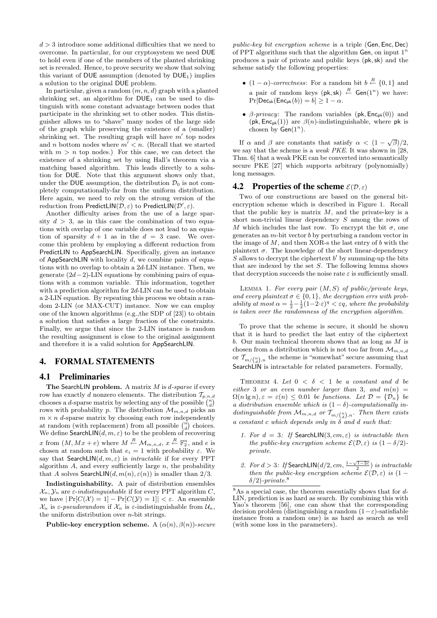$d > 3$  introduce some additional difficulties that we need to overcome. In particular, for our cryptosystem we need DUE to hold even if one of the members of the planted shrinking set is revealed. Hence, to prove security we show that solving this variant of DUE assumption (denoted by  $DUE_1$ ) implies a solution to the original DUE problem.

In particular, given a random  $(m, n, d)$  graph with a planted shrinking set, an algorithm for  $DUE_1$  can be used to distinguish with some constant advantage between nodes that participate in the shrinking set to other nodes. This distinguisher allows us to "shave" many nodes of the large side of the graph while preserving the existence of a (smaller) shrinking set. The resulting graph will have  $m'$  top nodes and n bottom nodes where  $m' < n$ . (Recall that we started with  $m > n$  top nodes.) For this case, we can detect the existence of a shrinking set by using Hall's theorem via a matching based algorithm. This leads directly to a solution for DUE. Note that this argument shows only that, under the DUE assumption, the distribution  $\mathcal{D}_0$  is not completely computationally-far from the uniform distribution. Here again, we need to rely on the strong version of the reduction from PredictLIN $(\mathcal{D}, \varepsilon)$  to PredictLIN $(\mathcal{D}', \varepsilon)$ .

Another difficulty arises from the use of a large sparsity  $d > 3$ , as in this case the combination of two equations with overlap of one variable does not lead to an equation of sparsity  $d + 1$  as in the  $d = 3$  case. We overcome this problem by employing a different reduction from PredictLIN to AppSearchLIN. Specifically, given an instance of AppSearchLIN with locality  $d$ , we combine pairs of equations with no overlap to obtain a 2d-LIN instance. Then, we generate  $(2d-2)$ -LIN equations by combining pairs of equations with a common variable. This information, together with a prediction algorithm for 2d-LIN can be used to obtain a 2-LIN equation. By repeating this process we obtain a random 2-LIN (or MAX-CUT) instance. Now we can employ one of the known algorithms (e.g.,the SDP of [23]) to obtain a solution that satisfies a large fraction of the constraints. Finally, we argue that since the 2-LIN instance is random the resulting assignment is close to the original assignment and therefore it is a valid solution for AppSearchLIN.

# 4. FORMAL STATEMENTS

## 4.1 Preliminaries

The SearchLIN problem. A matrix  $M$  is  $d$ -sparse if every row has exactly d nonzero elements. The distribution  $\mathcal{T}_{p,n,d}$ chooses a *d*-sparse matrix by selecting any of the possible  $($ chooses a *u*-sparse matrix by selecting any of the possible  $\binom{d}{d}$ <br>rows with probability p. The distribution  $\mathcal{M}_{m,n,d}$  picks an  $m \times n$  d-sparse matrix by choosing each row independently  $m \times n$  *d*-sparse matrix by choosing each row independently<br>at random (with replacement) from all possible  $\binom{n}{d}$  choices. We define SearchLIN $(d, m, \varepsilon)$  to be the problem of recovering x from  $(M, Mx + e)$  where  $M \stackrel{R}{\leftarrow} \mathcal{M}_{m,n,d}, x \stackrel{R}{\leftarrow} \mathbb{F}_2^n$ , and e is chosen at random such that  $e_i = 1$  with probability  $\varepsilon$ . We say that SearchLIN $(d, m, \varepsilon)$  is *intractable* if for every PPT algorithm  $A$ , and every sufficiently large  $n$ , the probability that A solves SearchLIN $(d, m(n), \varepsilon(n))$  is smaller than 2/3.

Indistinguishability. A pair of distribution ensembles  $\mathcal{X}_n, \mathcal{Y}_n$  are  $\varepsilon$ -indistinguishable if for every PPT algorithm C, we have  $|\Pr[C(\mathcal{X}) = 1] - \Pr[C(\mathcal{Y}) = 1]| < \varepsilon$ . An ensemble  $\mathcal{X}_n$  is  $\varepsilon$ -pseudorandom if  $\mathcal{X}_n$  is  $\varepsilon$ -indistinguishable from  $\mathcal{U}_n$ , the uniform distribution over  $n$ -bit strings.

Public-key encryption scheme. A  $(\alpha(n), \beta(n))$ -secure

public-key bit encryption scheme is a triple (Gen, Enc, Dec) of PPT algorithms such that the algorithm Gen, on input  $1^n$ produces a pair of private and public keys (pk,sk) and the scheme satisfy the following properties:

- $(1 \alpha)$ -correctness: For a random bit  $b \stackrel{R}{\leftarrow} \{0,1\}$  and a pair of random keys  $(\mathsf{pk}, \mathsf{sk}) \stackrel{R}{\leftarrow} \mathsf{Gen}(1^n)$  we have:  $Pr[Dec_{sk}(Enc_{pk}(b)) = b] \ge 1 - \alpha.$
- β-privacy: The random variables ( $pk$ ,  $Enc_{pk}(0)$ ) and (pk,  $Enc_{pk}(1)$ ) are  $\beta(n)$ -indistinguishable, where pk is chosen by  $Gen(1^n)$ .

If  $\alpha$  and  $\beta$  are constants that satisfy  $\alpha < (1 - \sqrt{\beta})/2$ , we say that the scheme is a weak PKE. It was shown in [28, Thm. 6] that a weak PKE can be converted into semantically secure PKE [27] which supports arbitrary (polynomially) long messages.

#### **4.2** Properties of the scheme  $\mathcal{E}(\mathcal{D}, \varepsilon)$

Two of our constructions are based on the general bitencryption scheme which is described in Figure 1. Recall that the public key is matrix  $M$ , and the private-key is a short non-trivial linear dependency S among the rows of M which includes the last row. To encrypt the bit  $\sigma$ , one generates an  $m$ -bit vector  $b$  by perturbing a random vector in the image of  $M$ , and then XOR-s the last entry of  $b$  with the plaintext  $\sigma$ . The knowledge of the short linear-dependency  $S$  allows to decrypt the ciphertext  $b'$  by summing-up the bits that are indexed by the set  $S$ . The following lemma shows that decryption succeeds the noise rate  $\varepsilon$  is sufficiently small.

LEMMA 1. For every pair  $(M, S)$  of public/private keys, and every plaintext  $\sigma \in \{0,1\}$ , the decryption errs with probability at most  $\alpha = \frac{1}{2} - \frac{1}{2}(1 - 2 \cdot \varepsilon)^q < \varepsilon q$ , where the probability is taken over the randomness of the encryption algorithm.

To prove that the scheme is secure, it should be shown that it is hard to predict the last entry of the ciphertext b. Our main technical theorem shows that as long as  $M$  is chosen from a distribution which is not too far from  $\mathcal{M}_{m,n,d}$ or  $\mathcal{T}_{m/{n\choose d},n}$  the scheme is "somewhat" secure assuming that SearchLIN is intractable for related parameters. Formally,

THEOREM 4. Let  $0 < \delta < 1$  be a constant and d be either 3 or an even number larger than 3, and  $m(n)$  =  $\Omega(n \lg n), \varepsilon = \varepsilon(n) \leq 0.01$  be functions. Let  $\mathcal{D} = {\mathcal{D}_n}$  be a distribution ensemble which is  $(1 - \delta)$ -computationally indistinguishable from  $\mathcal{M}_{m,n,d}$  or  $\mathcal{T}_{m/{n\choose d},n}$ . Then there exists a constant c which depends only in  $\delta$  and d such that:

- 1. For  $d = 3$ : If SearchLIN(3, cm,  $\varepsilon$ ) is intractable then the public-key encryption scheme  $\mathcal{E}(\mathcal{D}, \varepsilon)$  is  $(1 - \delta/2)$ private.
- 2. For  $d > 3$ : If SearchLIN $(d/2, cm, \frac{1-\sqrt{1-2\varepsilon}}{2})$  is intractable then the public-key encryption scheme  $\mathcal{E}(\mathcal{D}, \varepsilon)$  is  $(1 \delta/2)$ -private.<sup>8</sup>

 $8\text{As}$  a special case, the theorem essentially shows that for  $d$ -LIN, prediction is as hard as search. By combining this with Yao's theorem [56], one can show that the corresponding decision problem (distinguishing a random  $(1-\varepsilon)$ -satisfiable instance from a random one) is as hard as search as well (with some loss in the parameters).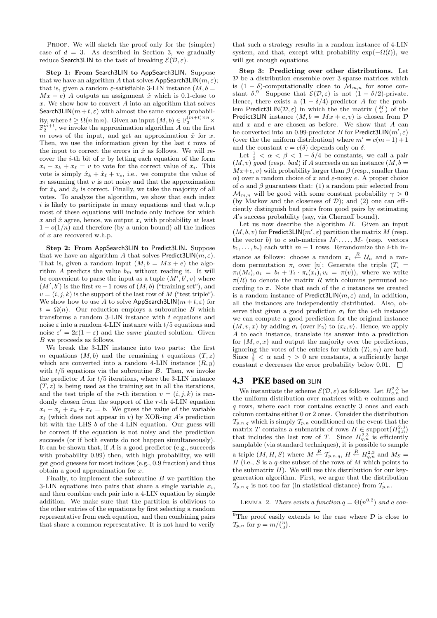PROOF. We will sketch the proof only for the (simpler) case of  $d = 3$ . As described in Section 3, we gradually reduce Search3LIN to the task of breaking  $\mathcal{E}(\mathcal{D}, \varepsilon)$ .

Step 1: From Search3LIN to AppSearch3LIN. Suppose that we have an algorithm A that solves AppSearch3LIN( $m, \varepsilon$ ); that is, given a random  $\varepsilon$ -satisfiable 3-LIN instance  $(M, b =$  $Mx + e$ ) A outputs an assignment  $\hat{x}$  which is 0.1-close to  $x$ . We show how to convert  $A$  into an algorithm that solves Search3LIN( $m+t, \varepsilon$ ) with almost the same success probability, where  $t \geq \Omega(n \ln n)$ . Given an input  $(M, b) \in \mathbb{F}_2^{(m+t)\times n} \times$  $\mathbb{F}_2^{m+t}$ , we invoke the approximation algorithm A on the first m rows of the input, and get an approximation  $\hat{x}$  for x. Then, we use the information given by the last  $t$  rows of the input to correct the errors in  $\hat{x}$  as follows. We will recover the *i*-th bit of x by letting each equation of the form  $x_i + x_k + x_\ell = v$  to vote for the correct value of  $x_i$ . This vote is simply  $\hat{x}_k + \hat{x}_\ell + v_s$ , i.e., we compute the value of  $x_i$  assuming that v is not noisy and that the approximation for  $\hat{x}_k$  and  $\hat{x}_\ell$  is correct. Finally, we take the majority of all votes. To analyze the algorithm, we show that each index  $i$  is likely to participate in many equations and that w.h.p most of these equations will include only indices for which x and  $\hat{x}$  agree, hence, we output  $x_i$  with probability at least  $1 - o(1/n)$  and therefore (by a union bound) all the indices of  $x$  are recovered w.h.p.

Step 2: From AppSearch3LIN to Predict3LIN. Suppose that we have an algorithm A that solves Predict3LIN $(m, \varepsilon)$ . That is, given a random input  $(M, b = Mx + e)$  the algorithm A predicts the value  $b_m$  without reading it. It will be convenient to parse the input as a tuple  $(M', b', v)$  where  $(M', b')$  is the first  $m-1$  rows of  $(M, b)$  ("training set"), and  $v = (i, j, k)$  is the support of the last row of M ("test triple"). We show how to use A to solve AppSearch3LIN( $m + t, \varepsilon$ ) for  $t = \Omega(n)$ . Our reduction employs a subroutine B which transforms a random  $3$ -LIN instance with  $t$  equations and noise  $\varepsilon$  into a random 4-LIN instance with  $t/5$  equations and noise  $\varepsilon' = 2\varepsilon(1-\varepsilon)$  and the *same* planted solution. Given B we proceeds as follows.

We break the 3-LIN instance into two parts: the first m equations  $(M, b)$  and the remaining t equations  $(T, z)$ which are converted into a random 4-LIN instance  $(R, y)$ with  $t/5$  equations via the subroutine  $B$ . Then, we invoke the predictor  $A$  for  $t/5$  iterations, where the 3-LIN instance  $(T, z)$  is being used as the training set in all the iterations, and the test triple of the r-th iteration  $v = (i, j, k)$  is randomly chosen from the support of the r-th 4-LIN equation  $x_i + x_j + x_k + x_\ell = b$ . We guess the value of the variable  $x_{\ell}$  (which does not appear in v) by XOR-ing A's prediction bit with the LHS b of the 4-LIN equation. Our guess will be correct if the equation is not noisy and the prediction succeeds (or if both events do not happen simultaneously). It can be shown that, if  $A$  is a good predictor (e.g., succeeds with probability 0.99) then, with high probability, we will get good guesses for most indices (e.g., 0.9 fraction) and thus obtain a good approximation for x.

Finally, to implement the subroutine  $B$  we partition the 3-LIN equations into pairs that share a single variable  $x_i$ , and then combine each pair into a 4-LIN equation by simple addition. We make sure that the partition is oblivious to the other entries of the equations by first selecting a random representative from each equation, and then combining pairs that share a common representative. It is not hard to verify

that such a strategy results in a random instance of 4-LIN system, and that, except with probability  $\exp(-\Omega(t))$ , we will get enough equations.

Step 3: Predicting over other distributions. Let  ${\mathcal D}$  be a distribution ensemble over 3-sparse matrices which is  $(1 - \delta)$ -computationally close to  $\mathcal{M}_{m,n}$  for some constant  $\delta$ .<sup>9</sup> Suppose that  $\mathcal{E}(\mathcal{D}, \varepsilon)$  is not  $(1 - \delta/2)$ -private. Hence, there exists a  $(1 - \delta/4)$ -predictor A for the problem Predict3LIN( $\mathcal{D}, \varepsilon$ ) in which the the matrix  $\left(\begin{array}{c} M \\ v \end{array}\right)$  of the Predict3LIN instance  $(M, b = Mx + e, v)$  is chosen from  $D$ and  $x$  and  $e$  are chosen as before. We show that  $A$  can be converted into an 0.99-predictor B for Predict3LIN $(m', \varepsilon)$ (over the the uniform distribution) where  $m' = c(m-1) + 1$ and the constant  $c = c(\delta)$  depends only on  $\delta$ .

Let  $\frac{1}{2} < \alpha < \beta < 1 - \delta/4$  be constants, we call a pair  $(M, v)$  good (resp. bad) if A succeeds on an instance  $(M, b =$  $Mx+e, v$ ) with probability larger than  $\beta$  (resp., smaller than  $\alpha$ ) over a random choice of x and  $\varepsilon$ -noisy e. A proper choice of  $\alpha$  and  $\beta$  guarantees that: (1) a random pair selected from  $\mathcal{M}_{m,n}$  will be good with some constant probability  $\gamma > 0$ (by Markov and the closeness of  $\mathcal{D}$ ); and (2) one can efficiently distinguish bad pairs from good pairs by estimating A's success probability (say, via Chernoff bound).

Let us now describe the algorithm  $B$ . Given an input  $(M, b, v)$  for Predict3LIN $(m', \varepsilon)$  partition the matrix M (resp. the vector b) to c sub-matrices  $M_1, \ldots, M_c$  (resp. vectors  $b_1, \ldots, b_c$  each with  $m-1$  rows. Rerandomize the *i*-th instance as follows: choose a random  $x_i \stackrel{R}{\leftarrow} U_n$  and a random permutation  $\pi_i$  over [n]; Generate the triple  $(T_i =$  $\pi_i(M_i), a_i = b_i + T_i \cdot \pi_i(x_i), v_i = \pi(v)$ , where we write  $\pi(R)$  to denote the matrix R with columns permuted according to  $\pi$ . Note that each of the c instances we created is a random instance of Predict3LIN $(m, \varepsilon)$  and, in addition, all the instances are independently distributed. Also, observe that given a good prediction  $\sigma_i$  for the *i*-th instance we can compute a good prediction for the original instance  $(M, v, x)$  by adding  $\sigma_i$  (over  $\mathbb{F}_2$ ) to  $\langle x_i, v \rangle$ . Hence, we apply A to each instance, translate its answer into a prediction for  $(M, v, x)$  and output the majority over the predictions, ignoring the votes of the entries for which  $(T_i, v_i)$  are bad. Since  $\frac{1}{2} < \alpha$  and  $\gamma > 0$  are constants, a sufficiently large constant c decreases the error probability below 0.01.  $\Box$ 

## 4.3 PKE based on 3LIN

We instantiate the scheme  $\mathcal{E}(\mathcal{D}, \varepsilon)$  as follows. Let  $H_{q,n}^{2,3}$  be the uniform distribution over matrices with  $n$  columns and  $q$  rows, where each row contains exactly 3 ones and each column contains either 0 or 2 ones. Consider the distribution  $\mathcal{T}_{p,n,q}$  which is simply  $\mathcal{T}_{p,n}$  conditioned on the event that the matrix T contains a submatrix of rows  $H \in \text{support}(H_{q,n}^{2,3})$ that includes the last row of T. Since  $H_{q,n}^{2,3}$  is efficiently samplable (via standard techniques), it is possible to sample a triple  $(M, H, S)$  where  $M \stackrel{R}{\leftarrow} \mathcal{T}_{p,n,q}, H \stackrel{R}{\leftarrow} H_{q,n}^{2,3}$  and  $M_S =$ H (i.e.,  $S$  is a q-size subset of the rows of M which points to the submatrix  $H$ ). We will use this distribution for our keygeneration algorithm. First, we argue that the distribution  $\mathcal{T}_{p,n,q}$  is not too far (in statistical distance) from  $\mathcal{T}_{p,n}$ .

LEMMA 2. There exists a function  $q = \Theta(n^{0.2})$  and a con-

<sup>&</sup>lt;sup>9</sup>The proof easily extends to the case where  $\mathcal{D}$  is close to The proof easily  $\epsilon$ <br>  $\mathcal{T}_{p,n}$  for  $p = m / {n \choose 3}$ .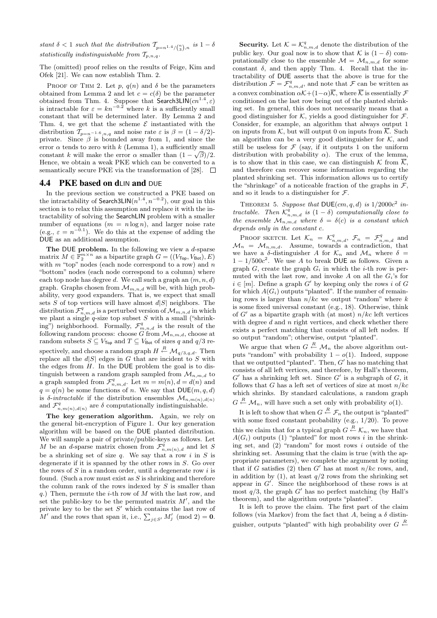stant  $\delta < 1$  such that the distribution  $\mathcal{T}_{p=n^{1.4}/\binom{n}{3},n}$  is  $1-\delta$ statistically indistinguishable from  $T_{p,n,q}$ .

The (omitted) proof relies on the results of Feige, Kim and Ofek [21]. We can now establish Thm. 2.

PROOF OF THM 2. Let p,  $q(n)$  and  $\delta$  be the parameters obtained from Lemma 2 and let  $c = c(\delta)$  be the parameter obtained from Thm. 4. Suppose that Search3LIN $(cn^{1.4},\varepsilon)$ is intractable for  $\varepsilon = kn^{-0.2}$  where k is a sufficiently small constant that will be determined later. By Lemma 2 and Thm. 4, we get that the scheme  $\mathcal E$  instantiated with the distribution  $\mathcal{T}_{p=n^{-1.6},n,q}$  and noise rate  $\varepsilon$  is  $\beta = (1 - \delta/2)$ private. Since  $\beta$  is bounded away from 1, and since the error  $\alpha$  tends to zero with k (Lemma 1), a sufficiently small constant k will make the error  $\alpha$  smaller than  $(1 - \sqrt{\beta})/2$ . Hence, we obtain a weak PKE which can be converted to a semantically secure PKE via the transformation of [28].  $\Box$ 

## 4.4 PKE based on dLIN and DUE

In the previous section we constructed a PKE based on the intractability of Search3LIN $(n^{1.4}, n^{-0.2})$ , our goal in this section is to relax this assumption and replace it with the intractability of solving the SearchLIN problem with a smaller number of equations  $(m = n \log n)$ , and larger noise rate (e.g.,  $\varepsilon = n^{-0.1}$ ). We do this at the expense of adding the DUE as an additional assumption.

The DUE problem. In the following we view a  $d$ -sparse matrix  $M \in \mathbb{F}_2^{m \times n}$  as a bipartite graph  $G = ((V_{\text{Top}}, V_{\text{Bot}}), E)$ with  $m$  "top" nodes (each node correspond to a row) and  $n$ "bottom" nodes (each node correspond to a column) where each top node has degree d. We call such a graph an  $(m, n, d)$ graph. Graphs chosen from  $\mathcal{M}_{m,n,d}$  will be, with high probability, very good expanders. That is, we expect that small sets S of top vertices will have almost  $d|S|$  neighbors. The distribution  $\mathcal{F}^q_{n,m,d}$  is a perturbed version of  $\mathcal{M}_{m,n,d}$  in which we plant a single  $q$ -size top subset S with a small ("shrinking") neighborhood. Formally,  $\mathcal{F}_{m,n,d}^q$  is the result of the following random process: choose G from  $\mathcal{M}_{n,m,d}$ , choose at random subsets  $S \subseteq V_{\text{Top}}$  and  $T \subseteq V_{\text{Bot}}$  of sizes q and  $q/3$  respectively, and choose a random graph  $H \stackrel{R}{\leftarrow} \mathcal{M}_{q/3,q,d}$ . Then replace all the  $d|S|$  edges in G that are incident to S with the edges from  $H$ . In the DUE problem the goal is to distinguish between a random graph sampled from  $\mathcal{M}_{n,m,d}$  to a graph sampled from  $\mathcal{F}^q_{n,m,d}$ . Let  $m = m(n)$ ,  $d = d(n)$  and  $q = q(n)$  be some functions of n. We say that  $DUE(m, q, d)$ is  $\delta$ -*intractable* if the distribution ensembles  $\mathcal{M}_{n,m(n),d(n)}$ and  $\mathcal{F}_{n,m(n),d(n)}^q$  are  $\delta$  computationally indistinguishable.

The key generation algorithm. Again, we rely on the general bit-encryption of Figure 1. Our key generation algorithm will be based on the DUE planted distribution. We will sample a pair of private/public-keys as follows. Let M be an d-sparse matrix chosen from  $\mathcal{F}_{n,m(n),d}^{\tilde{q}}$  and let S be a shrinking set of size q. We say that a row i in S is degenerate if it is spanned by the other rows in S. Go over the rows of  $S$  in a random order, until a degenerate row  $i$  is found. (Such a row must exist as  $S$  is shrinking and therefore the column rank of the rows indexed by  $S$  is smaller than q.) Then, permute the *i*-th row of  $M$  with the last row, and set the public-key to be the permuted matrix  $M'$ , and the private key to be the set  $S'$  which contains the last row of private key to be the set S which contains the last row or  $M'$  and the rows that span it, i.e.,  $\sum_{j \in S'} M'_j \pmod{2} = 0$ .

**Security.** Let  $\mathcal{K} = \mathcal{K}_{n,m,d}^q$  denote the distribution of the public key. Our goal now is to show that K is  $(1 - \delta)$  computationally close to the ensemble  $\mathcal{M} = \mathcal{M}_{n,m,d}$  for some constant  $\delta$ , and then apply Thm. 4. Recall that the intractability of DUE asserts that the above is true for the distribution  $\mathcal{F} = \mathcal{F}^q_{n,m,d}$ , and note that  $\mathcal{F}$  can be written as a convex combination  $\alpha \mathcal{K} + (1-\alpha)\overline{\mathcal{K}}$ , where  $\overline{\mathcal{K}}$  is essentially  $\mathcal F$ conditioned on the last row being out of the planted shrinking set. In general, this does not necessarily means that a good distinguisher for  $K$ , yields a good distinguisher for  $\mathcal F$ . Consider, for example, an algorithm that always output 1 on inputs from K, but will output 0 on inputs from  $\overline{\mathcal{K}}$ . Such an algorithm can be a very good distinguisher for  $K$ , and still be useless for  $\mathcal F$  (say, if it outputs 1 on the uniform distribution with probability  $\alpha$ ). The crux of the lemma, is to show that in this case, we can distinguish K from  $\overline{\mathcal{K}}$ , and therefore can recover some information regarding the planted shrinking set. This information allows us to certify the "shrinkage" of a noticeable fraction of the graphs in  $\mathcal{F}$ , and so it leads to a distinguisher for  $\mathcal{F}.$ 

THEOREM 5. Suppose that DUE $(cm, q, d)$  is  $1/2000c^2$  intractable. Then  $\mathcal{K}_{n,m,d}^q$  is  $(1 - \delta)$  computationally close to the ensemble  $\mathcal{M}_{n,m,d}$  where  $\delta = \delta(c)$  is a constant which depends only in the constant c.

PROOF SKETCH. Let  $\mathcal{K}_n = \mathcal{K}_{n,m,d}^q$ ,  $\mathcal{F}_n = \mathcal{F}_{n,m,d}^q$  and  $\mathcal{M}_n = \mathcal{M}_{n,m,d}$ . Assume, towards a contradiction, that we have a  $\delta$ -distinguisher A for  $\mathcal{K}_n$  and  $\mathcal{M}_n$  where  $\delta =$  $1 - 1/500c^2$ . We use A to break DUE as follows. Given a graph  $G$ , create the graph  $G_i$  in which the *i*-th row is permuted with the last row, and invoke  $A$  on all the  $G_i$ 's for  $i \in [m]$ . Define a graph G' by keeping only the rows i of G for which  $A(G_i)$  outputs "planted". If the number of remaining rows is larger than  $n/kc$  we output "random" where k is some fixed universal constant (e.g., 18). Otherwise, think of  $G'$  as a bipartite graph with (at most)  $n/kc$  left vertices with degree  $d$  and  $n$  right vertices, and check whether there exists a perfect matching that consists of all left nodes. If so output "random"; otherwise, output "planted".

We argue that when  $G \stackrel{R}{\leftarrow} \mathcal{M}_n$  the above algorithm outputs "random" with probability  $1 - o(1)$ . Indeed, suppose that we outputted "planted". Then,  $G'$  has no matching that consists of all left vertices, and therefore, by Hall's theorem,  $G'$  has a shrinking left set. Since  $G'$  is a subgraph of  $G$ , it follows that G has a left set of vertices of size at most  $n/kc$ which shrinks. By standard calculations, a random graph  $G \stackrel{R}{\leftarrow} \mathcal{M}_n$ , will have such a set only with probability  $o(1)$ .

It is left to show that when  $G \stackrel{R}{\leftarrow} \mathcal{F}_n$  the output is "planted" with some fixed constant probability (e.g., 1/20). To prove this we claim that for a typical graph  $G \stackrel{R}{\leftarrow} \mathcal{K}_n$ , we have that  $A(G_i)$  outputs (1) "planted" for most rows i in the shrinking set, and  $(2)$  "random" for most rows i outside of the shrinking set. Assuming that the claim is true (with the appropriate parameters), we complete the argument by noting that if G satisfies (2) then G' has at most  $n/kc$  rows, and, in addition by (1), at least  $q/2$  rows from the shrinking set appear in  $G'$ . Since the neighborhood of these rows is at most  $q/3$ , the graph  $G'$  has no perfect matching (by Hall's theorem), and the algorithm outputs "planted".

It is left to prove the claim. The first part of the claim follows (via Markov) from the fact that A, being a  $\delta$  distinguisher, outputs "planted" with high probability over  $G \stackrel{R}{\leftarrow}$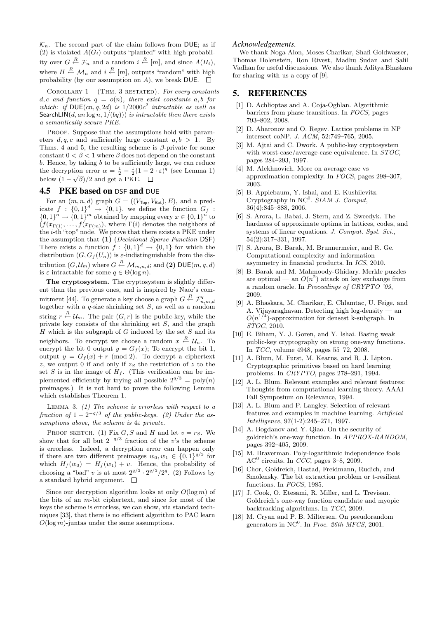$\mathcal{K}_n$ . The second part of the claim follows from DUE; as if (2) is violated  $A(G_i)$  outputs "planted" with high probability over  $G \stackrel{R}{\leftarrow} \mathcal{F}_n$  and a random  $i \stackrel{R}{\leftarrow} [m]$ , and since  $A(H_i)$ , where  $H \stackrel{R}{\leftarrow} \mathcal{M}_n$  and  $i \stackrel{R}{\leftarrow} [m]$ , outputs "random" with high probability (by our assumption on A), we break DUE.  $\square$ 

COROLLARY 1 (THM. 3 RESTATED). For every constants  $d, c$  and function  $q = o(n)$ , there exist constants a, b for which: if DUE $(cn, q, 2d)$  is  $1/2000c^2$  intractable as well as SearchLIN(d, an log n,  $1/(bq))$ ) is intractable then there exists a semantically secure PKE.

PROOF. Suppose that the assumptions hold with parameters  $d, q, c$  and sufficiently large constant  $a, b > 1$ . By Thms. 4 and 5, the resulting scheme is  $\beta$ -private for some constant  $0 < \beta < 1$  where  $\beta$  does not depend on the constant b. Hence, by taking b to be sufficiently large, we can reduce the decryption error  $\alpha = \frac{1}{2} - \frac{1}{2}(1 - 2 \cdot \varepsilon)^q$  (see Lemma 1) below  $(1 - \sqrt{\beta})/2$  and get a PKE.

## 4.5 PKE based on DSF and DUE

For an  $(m, n, d)$  graph  $G = ((V<sub>Top</sub>, V<sub>Bot</sub>), E)$ , and a predicate  $f : \{0,1\}^d \rightarrow \{0,1\}$ , we define the function  $G_f$ :  $\{0,1\}^n \to \{0,1\}^m$  obtained by mapping every  $x \in \{0,1\}^n$  to  $(f(x_{\Gamma(1)},...,f(x_{\Gamma(m)}),$  where  $\Gamma(i)$  denotes the neighbors of the i-th "top" node. We prove that there exists a PKE under the assumption that (1) (Decisional Sparse Function DSF) There exists a function  $f: \{0,1\}^d \to \{0,1\}$  for which the distribution  $(G, G<sub>f</sub>(U<sub>n</sub>))$  is  $\varepsilon$ -indistinguishable from the distribution  $(G, \mathcal{U}_m)$  where  $G \stackrel{R}{\leftarrow} \mathcal{M}_{m,n,d}$ ; and (2) DUE $(m, q, d)$ is  $\varepsilon$  intractable for some  $q \in \Theta(\log n)$ .

The cryptosystem. The cryptosystem is slightly different than the previous ones, and is inspired by Naor's commitment [44]. To generate a key choose a graph  $G \stackrel{R}{\leftarrow} \mathcal{F}_{n,m,d}^q$  together with a q-size shrinking set S, as well as a random string  $r \stackrel{R}{\leftarrow} \mathcal{U}_m$ . The pair  $(G, r)$  is the public-key, while the private key consists of the shrinking set S, and the graph  $H$  which is the subgraph of  $G$  induced by the set  $S$  and its neighbors. To encrypt we choose a random  $x \stackrel{R}{\leftarrow} \mathcal{U}_n$ . To encrypt the bit 0 output  $y = G_f(x)$ ; To encrypt the bit 1, output  $y = G_f(x) + r \pmod{2}$ . To decrypt a ciphertext  $z$ , we output 0 if and only if  $z<sub>S</sub>$  the restriction of z to the set S is in the image of  $H_f$ . (This verification can be implemented efficiently by trying all possible  $2^{q/3} = \text{poly}(n)$ preimages.) It is not hard to prove the following Lemma which establishes Theorem 1.

LEMMA 3.  $(1)$  The scheme is errorless with respect to a fraction of  $1-2^{-q/3}$  of the public-keys. (2) Under the assumptions above, the scheme is 4ε private.

PROOF SKETCH. (1) Fix G, S and H and let  $v = rs$ . We show that for all but  $2^{-q/3}$  fraction of the v's the scheme is errorless. Indeed, a decryption error can happen only if there are two different preimages  $w_0, w_1 \in \{0, 1\}^{q/3}$  for which  $H_f(w_0) = H_f(w_1) + v$ . Hence, the probability of choosing a "bad" v is at most  $2^{q/3} \cdot 2^{q/3}/2^q$ . (2) Follows by a standard hybrid argument.

Since our decryption algorithm looks at only  $O(\log m)$  of the bits of an m-bit ciphertext, and since for most of the keys the scheme is errorless, we can show, via standard techniques [33], that there is no efficient algorithm to PAC learn  $O(\log m)$ -juntas under the same assumptions.

#### *Acknowledgements.*

We thank Noga Alon, Moses Charikar, Shafi Goldwasser, Thomas Holenstein, Ron Rivest, Madhu Sudan and Salil Vadhan for useful discussions. We also thank Aditya Bhaskara for sharing with us a copy of [9].

# 5. REFERENCES

- [1] D. Achlioptas and A. Coja-Oghlan. Algorithmic barriers from phase transitions. In FOCS, pages 793–802, 2008.
- [2] D. Aharonov and O. Regev. Lattice problems in NP intersect coNP. J. ACM, 52:749–765, 2005.
- [3] M. Aitai and C. Dwork. A public-key cryptosystem with worst-case/average-case equivalence. In *STOC*, pages 284–293, 1997.
- [4] M. Alekhnovich. More on average case vs approximation complexity. In FOCS, pages 298–307, 2003.
- [5] B. Applebaum, Y. Ishai, and E. Kushilevitz. Cryptography in  $NC^0$ . SIAM J. Comput, 36(4):845–888, 2006.
- [6] S. Arora, L. Babai, J. Stern, and Z. Sweedyk. The hardness of approximate optima in lattices, codes, and systems of linear equations. J. Comput. Syst. Sci., 54(2):317–331, 1997.
- [7] S. Arora, B. Barak, M. Brunnermeier, and R. Ge. Computational complexity and information asymmetry in financial products. In ICS, 2010.
- [8] B. Barak and M. Mahmoody-Ghidary. Merkle puzzles are optimal — an  $O(n^2)$  attack on key exchange from a random oracle. In Proceedings of CRYPTO '09, 2009.
- [9] A. Bhaskara, M. Charikar, E. Chlamtac, U. Feige, and A. Vijayaraghavan. Detecting high log-density — an  $O(n^{1/4})$ -approximation for densest k-subgraph. In STOC, 2010.
- [10] E. Biham, Y. J. Goren, and Y. Ishai. Basing weak public-key cryptography on strong one-way functions. In TCC, volume 4948, pages 55–72, 2008.
- [11] A. Blum, M. Furst, M. Kearns, and R. J. Lipton. Cryptographic primitives based on hard learning problems. In CRYPTO, pages 278–291, 1994.
- [12] A. L. Blum. Relevant examples and relevant features: Thoughts from computational learning theory. AAAI Fall Symposium on Relevance, 1994.
- [13] A. L. Blum and P. Langley. Selection of relevant features and examples in machine learning. Artificial Intelligence, 97(1-2):245–271, 1997.
- [14] A. Bogdanov and Y. Qiao. On the security of goldreich's one-way function. In APPROX-RANDOM, pages 392–405, 2009.
- [15] M. Braverman. Poly-logarithmic independence fools  $AC^0$  circuits. In *CCC*, pages 3–8, 2009.
- [16] Chor, Goldreich, Hastad, Freidmann, Rudich, and Smolensky. The bit extraction problem or t-resilient functions. In FOCS, 1985.
- [17] J. Cook, O. Etesami, R. Miller, and L. Trevisan. Goldreich's one-way function candidate and myopic backtracking algorithms. In TCC, 2009.
- [18] M. Cryan and P. B. Miltersen. On pseudorandom generators in NC<sup>0</sup>. In Proc. 26th MFCS, 2001.